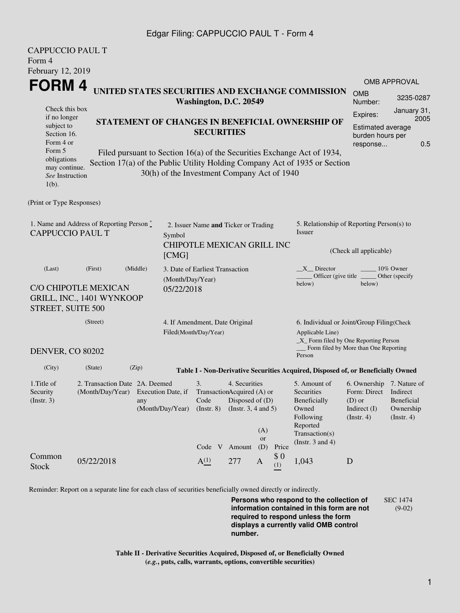## Edgar Filing: CAPPUCCIO PAUL T - Form 4

| <b>CAPPUCCIO PAUL T</b>                                                                                                                    |                                                              |                                                                                                                                                                                                      |                                                                                                                                |                                                                    |        |                                                                              |                                                                                                    |                                                                                                               |        |                             |  |
|--------------------------------------------------------------------------------------------------------------------------------------------|--------------------------------------------------------------|------------------------------------------------------------------------------------------------------------------------------------------------------------------------------------------------------|--------------------------------------------------------------------------------------------------------------------------------|--------------------------------------------------------------------|--------|------------------------------------------------------------------------------|----------------------------------------------------------------------------------------------------|---------------------------------------------------------------------------------------------------------------|--------|-----------------------------|--|
| Form 4                                                                                                                                     |                                                              |                                                                                                                                                                                                      |                                                                                                                                |                                                                    |        |                                                                              |                                                                                                    |                                                                                                               |        |                             |  |
| February 12, 2019                                                                                                                          |                                                              |                                                                                                                                                                                                      |                                                                                                                                |                                                                    |        |                                                                              |                                                                                                    |                                                                                                               |        |                             |  |
| <b>FORM4</b>                                                                                                                               |                                                              |                                                                                                                                                                                                      |                                                                                                                                |                                                                    |        |                                                                              | <b>OMB</b>                                                                                         | <b>OMB APPROVAL</b>                                                                                           |        |                             |  |
|                                                                                                                                            |                                                              | UNITED STATES SECURITIES AND EXCHANGE COMMISSION<br>Washington, D.C. 20549                                                                                                                           |                                                                                                                                |                                                                    |        |                                                                              |                                                                                                    |                                                                                                               |        | 3235-0287                   |  |
| Check this box<br>if no longer<br>subject to<br>Section 16.<br>Form 4 or<br>Form 5                                                         |                                                              | Expires:<br>STATEMENT OF CHANGES IN BENEFICIAL OWNERSHIP OF<br>Estimated average<br><b>SECURITIES</b><br>burden hours per<br>response                                                                |                                                                                                                                |                                                                    |        |                                                                              |                                                                                                    |                                                                                                               |        |                             |  |
| obligations<br>may continue.<br>See Instruction<br>$1(b)$ .                                                                                |                                                              | Filed pursuant to Section 16(a) of the Securities Exchange Act of 1934,<br>Section 17(a) of the Public Utility Holding Company Act of 1935 or Section<br>30(h) of the Investment Company Act of 1940 |                                                                                                                                |                                                                    |        |                                                                              |                                                                                                    |                                                                                                               |        |                             |  |
| (Print or Type Responses)                                                                                                                  |                                                              |                                                                                                                                                                                                      |                                                                                                                                |                                                                    |        |                                                                              |                                                                                                    |                                                                                                               |        |                             |  |
| 1. Name and Address of Reporting Person*<br><b>CAPPUCCIO PAUL T</b>                                                                        |                                                              |                                                                                                                                                                                                      | Symbol                                                                                                                         | 2. Issuer Name and Ticker or Trading<br>CHIPOTLE MEXICAN GRILL INC |        |                                                                              |                                                                                                    | 5. Relationship of Reporting Person(s) to<br>Issuer<br>(Check all applicable)                                 |        |                             |  |
|                                                                                                                                            |                                                              |                                                                                                                                                                                                      | [CMG]                                                                                                                          |                                                                    |        |                                                                              |                                                                                                    |                                                                                                               |        |                             |  |
| (Last)<br>STREET, SUITE 500                                                                                                                | (First)<br>C/O CHIPOTLE MEXICAN<br>GRILL, INC., 1401 WYNKOOP | (Middle)                                                                                                                                                                                             | (Month/Day/Year)<br>05/22/2018                                                                                                 | 3. Date of Earliest Transaction                                    |        |                                                                              |                                                                                                    | $X$ <sub>Director</sub><br>Officer (give title $\phantom{0}$<br>below)                                        | below) | 10% Owner<br>Other (specify |  |
| (Street)<br><b>DENVER, CO 80202</b>                                                                                                        |                                                              |                                                                                                                                                                                                      |                                                                                                                                | 4. If Amendment, Date Original                                     |        |                                                                              |                                                                                                    | 6. Individual or Joint/Group Filing(Check                                                                     |        |                             |  |
|                                                                                                                                            |                                                              |                                                                                                                                                                                                      |                                                                                                                                | Filed(Month/Day/Year)                                              |        |                                                                              |                                                                                                    | Applicable Line)<br>_X_ Form filed by One Reporting Person<br>Form filed by More than One Reporting<br>Person |        |                             |  |
| (City)                                                                                                                                     | (State)                                                      | (Zip)                                                                                                                                                                                                |                                                                                                                                |                                                                    |        |                                                                              |                                                                                                    |                                                                                                               |        |                             |  |
|                                                                                                                                            |                                                              |                                                                                                                                                                                                      |                                                                                                                                |                                                                    |        |                                                                              |                                                                                                    | Table I - Non-Derivative Securities Acquired, Disposed of, or Beneficially Owned                              |        |                             |  |
| 2. Transaction Date 2A. Deemed<br>1. Title of<br>(Month/Day/Year) Execution Date, if<br>Security<br>(Insert. 3)<br>any<br>(Month/Day/Year) |                                                              |                                                                                                                                                                                                      | 4. Securities<br>3.<br>TransactionAcquired (A) or<br>Code<br>Disposed of (D)<br>(Insert. 8)<br>(Instr. $3, 4$ and $5$ )<br>(A) |                                                                    |        | 5. Amount of<br>Securities<br>Beneficially<br>Owned<br>Following<br>Reported | 6. Ownership 7. Nature of<br>Form: Direct Indirect<br>$(D)$ or<br>Indirect (I)<br>$($ Instr. 4 $)$ | Beneficial<br>Ownership<br>(Insert. 4)                                                                        |        |                             |  |
|                                                                                                                                            |                                                              |                                                                                                                                                                                                      |                                                                                                                                | Code V                                                             | Amount | or<br>(D)                                                                    | Price                                                                                              | Transaction(s)<br>(Instr. $3$ and $4$ )                                                                       |        |                             |  |
| Common<br><b>Stock</b>                                                                                                                     | 05/22/2018                                                   |                                                                                                                                                                                                      |                                                                                                                                | $A^{(1)}_{-}$                                                      | 277    | $\mathbf{A}$                                                                 | \$0<br>(1)                                                                                         | 1,043                                                                                                         | D      |                             |  |
|                                                                                                                                            |                                                              |                                                                                                                                                                                                      |                                                                                                                                |                                                                    |        |                                                                              |                                                                                                    |                                                                                                               |        |                             |  |

Reminder: Report on a separate line for each class of securities beneficially owned directly or indirectly.

**Persons who respond to the collection of information contained in this form are not required to respond unless the form displays a currently valid OMB control number.** SEC 1474 (9-02)

**Table II - Derivative Securities Acquired, Disposed of, or Beneficially Owned (***e.g.***, puts, calls, warrants, options, convertible securities)**